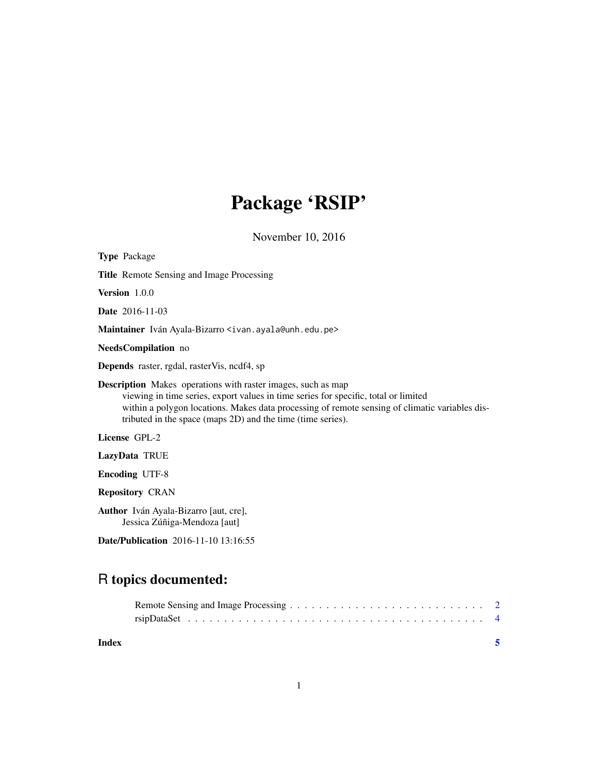# Package 'RSIP'

November 10, 2016

| <b>Type Package</b>                                                                                                                                                                                                                                                                                                         |
|-----------------------------------------------------------------------------------------------------------------------------------------------------------------------------------------------------------------------------------------------------------------------------------------------------------------------------|
| <b>Title</b> Remote Sensing and Image Processing                                                                                                                                                                                                                                                                            |
| <b>Version</b> $1.0.0$                                                                                                                                                                                                                                                                                                      |
| <b>Date</b> 2016-11-03                                                                                                                                                                                                                                                                                                      |
| Maintainer Iván Ayala-Bizarro <ivan.ayala@unh.edu.pe></ivan.ayala@unh.edu.pe>                                                                                                                                                                                                                                               |
| <b>NeedsCompilation</b> no                                                                                                                                                                                                                                                                                                  |
| <b>Depends</b> raster, rgdal, rasterVis, ncdf4, sp                                                                                                                                                                                                                                                                          |
| <b>Description</b> Makes operations with raster images, such as map<br>viewing in time series, export values in time series for specific, total or limited<br>within a polygon locations. Makes data processing of remote sensing of climatic variables dis-<br>tributed in the space (maps 2D) and the time (time series). |
| License GPL-2                                                                                                                                                                                                                                                                                                               |
| LazyData TRUE                                                                                                                                                                                                                                                                                                               |
| <b>Encoding UTF-8</b>                                                                                                                                                                                                                                                                                                       |
| <b>Repository CRAN</b>                                                                                                                                                                                                                                                                                                      |
| <b>Author</b> Iván Ayala-Bizarro [aut, cre],<br>Jessica Zúñiga-Mendoza [aut]                                                                                                                                                                                                                                                |
|                                                                                                                                                                                                                                                                                                                             |

Date/Publication 2016-11-10 13:16:55

# R topics documented:

| Index |  |
|-------|--|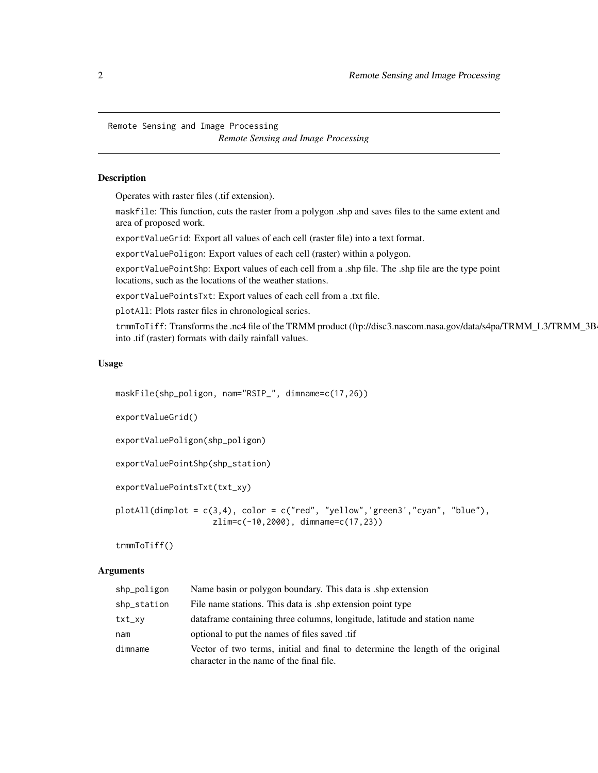<span id="page-1-0"></span>Remote Sensing and Image Processing *Remote Sensing and Image Processing*

#### Description

Operates with raster files (.tif extension).

maskfile: This function, cuts the raster from a polygon .shp and saves files to the same extent and area of proposed work.

exportValueGrid: Export all values of each cell (raster file) into a text format.

exportValuePoligon: Export values of each cell (raster) within a polygon.

exportValuePointShp: Export values of each cell from a .shp file. The .shp file are the type point locations, such as the locations of the weather stations.

exportValuePointsTxt: Export values of each cell from a .txt file.

plotAll: Plots raster files in chronological series.

trmmToTiff: Transforms the .nc4 file of the TRMM product (ftp://disc3.nascom.nasa.gov/data/s4pa/TRMM\_L3/TRMM\_3B into .tif (raster) formats with daily rainfall values.

#### Usage

```
maskFile(shp_poligon, nam="RSIP_", dimname=c(17,26))
exportValueGrid()
exportValuePoligon(shp_poligon)
exportValuePointShp(shp_station)
exportValuePointsTxt(txt_xy)
plotAll(dimplot = c(3,4), color = c("red", "yellow",'green3',"cyan", "blue"),
                    zlim=c(-10,2000), dimname=c(17,23))
```
trmmToTiff()

## Arguments

| shp_poligon | Name basin or polygon boundary. This data is shp extension                                                                 |
|-------------|----------------------------------------------------------------------------------------------------------------------------|
| shp_station | File name stations. This data is ship extension point type                                                                 |
| txt_xy      | data frame containing three columns, longitude, latitude and station name                                                  |
| nam         | optional to put the names of files saved .tif                                                                              |
| dimname     | Vector of two terms, initial and final to determine the length of the original<br>character in the name of the final file. |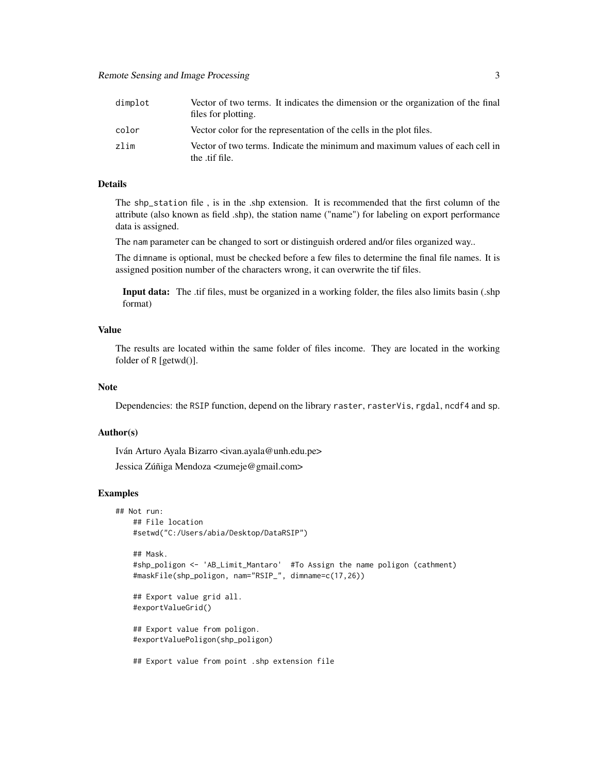| dimplot | Vector of two terms. It indicates the dimension or the organization of the final<br>files for plotting. |
|---------|---------------------------------------------------------------------------------------------------------|
| color   | Vector color for the representation of the cells in the plot files.                                     |
| zlim    | Vector of two terms. Indicate the minimum and maximum values of each cell in<br>the tif file.           |

## Details

The shp\_station file , is in the .shp extension. It is recommended that the first column of the attribute (also known as field .shp), the station name ("name") for labeling on export performance data is assigned.

The nam parameter can be changed to sort or distinguish ordered and/or files organized way..

The dimname is optional, must be checked before a few files to determine the final file names. It is assigned position number of the characters wrong, it can overwrite the tif files.

Input data: The .tif files, must be organized in a working folder, the files also limits basin (.shp format)

#### Value

The results are located within the same folder of files income. They are located in the working folder of R [getwd()].

# Note

Dependencies: the RSIP function, depend on the library raster, rasterVis, rgdal, ncdf4 and sp.

#### Author(s)

Iván Arturo Ayala Bizarro <ivan.ayala@unh.edu.pe>

Jessica Zúñiga Mendoza <zumeje@gmail.com>

#### Examples

```
## Not run:
   ## File location
   #setwd("C:/Users/abia/Desktop/DataRSIP")
   ## Mask.
   #shp_poligon <- 'AB_Limit_Mantaro' #To Assign the name poligon (cathment)
   #maskFile(shp_poligon, nam="RSIP_", dimname=c(17,26))
   ## Export value grid all.
   #exportValueGrid()
   ## Export value from poligon.
   #exportValuePoligon(shp_poligon)
   ## Export value from point .shp extension file
```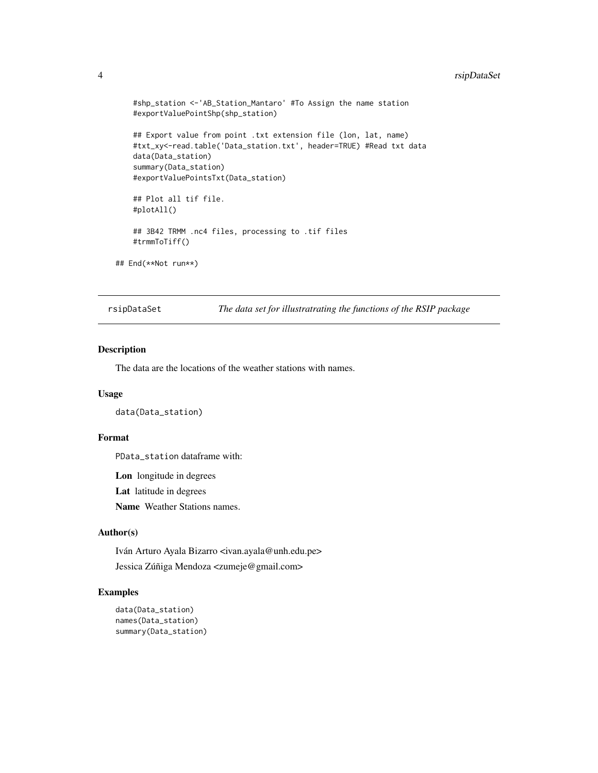## <span id="page-3-0"></span>4 rsipDataSet

```
#shp_station <-'AB_Station_Mantaro' #To Assign the name station
    #exportValuePointShp(shp_station)
    ## Export value from point .txt extension file (lon, lat, name)
    #txt_xy<-read.table('Data_station.txt', header=TRUE) #Read txt data
    data(Data_station)
    summary(Data_station)
    #exportValuePointsTxt(Data_station)
    ## Plot all tif file.
    #plotAll()
    ## 3B42 TRMM .nc4 files, processing to .tif files
    #trmmToTiff()
## End(**Not run**)
```
rsipDataSet *The data set for illustratrating the functions of the RSIP package*

#### Description

The data are the locations of the weather stations with names.

#### Usage

data(Data\_station)

#### Format

PData\_station dataframe with:

Lon longitude in degrees

Lat latitude in degrees

Name Weather Stations names.

#### Author(s)

Iván Arturo Ayala Bizarro <ivan.ayala@unh.edu.pe> Jessica Zúñiga Mendoza <zumeje@gmail.com>

#### Examples

```
data(Data_station)
names(Data_station)
summary(Data_station)
```